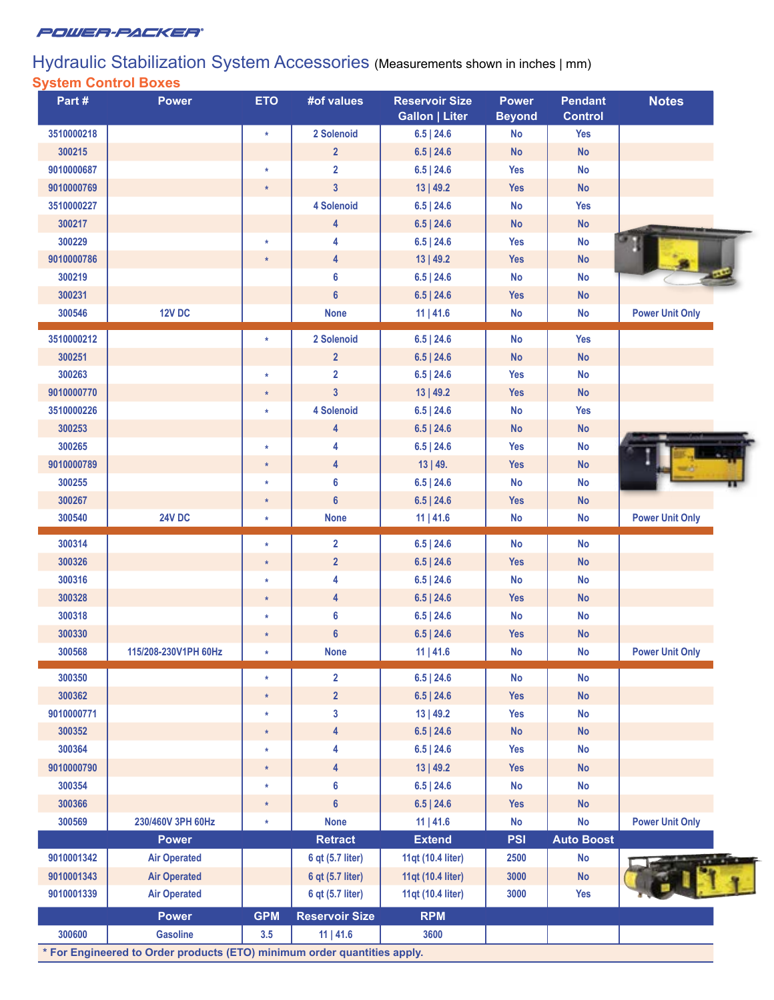

## Hydraulic Stabilization System Accessories (Measurements shown in inches | mm) **System Control Boxes**

| Part#      | <b>Power</b>         | <b>ETO</b> | #of values                       | <b>Reservoir Size</b><br><b>Gallon   Liter</b> | <b>Power</b><br><b>Beyond</b> | <b>Pendant</b><br><b>Control</b> | <b>Notes</b>           |
|------------|----------------------|------------|----------------------------------|------------------------------------------------|-------------------------------|----------------------------------|------------------------|
| 3510000218 |                      | $\star$    | 2 Solenoid                       | $6.5$   24.6                                   | <b>No</b>                     | <b>Yes</b>                       |                        |
| 300215     |                      |            | 2 <sup>2</sup>                   | $6.5$   24.6                                   | <b>No</b>                     | <b>No</b>                        |                        |
| 9010000687 |                      | $\star$    | $\overline{2}$                   | $6.5$   24.6                                   | <b>Yes</b>                    | <b>No</b>                        |                        |
| 9010000769 |                      | $\star$    | $\mathbf{3}$                     | 13   49.2                                      | <b>Yes</b>                    | <b>No</b>                        |                        |
| 3510000227 |                      |            | 4 Solenoid                       | $6.5$   24.6                                   | No                            | <b>Yes</b>                       |                        |
| 300217     |                      |            | 4                                | $6.5$   24.6                                   | <b>No</b>                     | <b>No</b>                        |                        |
| 300229     |                      | $\star$    | 4                                | $6.5$   24.6                                   | <b>Yes</b>                    | <b>No</b>                        |                        |
| 9010000786 |                      | $\star$    | $\overline{4}$                   | 13   49.2                                      | <b>Yes</b>                    | <b>No</b>                        |                        |
| 300219     |                      |            | $6\phantom{1}$                   | $6.5$   24.6                                   | <b>No</b>                     | <b>No</b>                        |                        |
| 300231     |                      |            | $6\phantom{a}$                   | $6.5$   24.6                                   | <b>Yes</b>                    | No                               |                        |
| 300546     | <b>12V DC</b>        |            | <b>None</b>                      | $11$   41.6                                    | <b>No</b>                     | <b>No</b>                        | <b>Power Unit Only</b> |
|            |                      |            |                                  |                                                |                               |                                  |                        |
| 3510000212 |                      | $\star$    | 2 Solenoid                       | $6.5$   24.6                                   | <b>No</b>                     | <b>Yes</b>                       |                        |
| 300251     |                      |            | $\overline{2}$                   | $6.5$   24.6                                   | <b>No</b>                     | <b>No</b>                        |                        |
| 300263     |                      | $\ast$     | $\overline{2}$                   | $6.5$   24.6                                   | <b>Yes</b>                    | <b>No</b>                        |                        |
| 9010000770 |                      | $\star$    | 3 <sup>1</sup>                   | 13   49.2                                      | <b>Yes</b>                    | <b>No</b>                        |                        |
| 3510000226 |                      | $\star$    | 4 Solenoid                       | $6.5$   24.6                                   | <b>No</b>                     | <b>Yes</b>                       |                        |
| 300253     |                      |            | 4                                | $6.5$   24.6                                   | <b>No</b>                     | No                               |                        |
| 300265     |                      | $\star$    | 4                                | $6.5$   24.6                                   | <b>Yes</b>                    | <b>No</b>                        |                        |
| 9010000789 |                      | $\star$    | $\overline{\mathbf{4}}$          | 13   49.                                       | <b>Yes</b>                    | <b>No</b>                        |                        |
| 300255     |                      | $\star$    | $6\phantom{1}$                   | $6.5$   24.6                                   | No                            | <b>No</b>                        |                        |
| 300267     |                      | $\star$    | $6\phantom{a}$                   | 6.5   24.6                                     | <b>Yes</b>                    | <b>No</b>                        |                        |
| 300540     | <b>24V DC</b>        | $\star$    | <b>None</b>                      | $11$   41.6                                    | <b>No</b>                     | <b>No</b>                        | <b>Power Unit Only</b> |
| 300314     |                      | $\star$    | $\overline{2}$                   | $6.5$   24.6                                   | <b>No</b>                     | <b>No</b>                        |                        |
| 300326     |                      | $\star$    | $\overline{2}$                   | $6.5$   24.6                                   | <b>Yes</b>                    | No                               |                        |
| 300316     |                      | $\star$    | 4                                | $6.5$   24.6                                   | <b>No</b>                     | <b>No</b>                        |                        |
| 300328     |                      | $\star$    | $\overline{4}$                   | $6.5$   24.6                                   | <b>Yes</b>                    | <b>No</b>                        |                        |
| 300318     |                      | $\star$    | 6                                | $6.5$   24.6                                   | <b>No</b>                     | <b>No</b>                        |                        |
| 300330     |                      | $\star$    | $6\phantom{1}$                   | $6.5$   24.6                                   | <b>Yes</b>                    | <b>No</b>                        |                        |
| 300568     | 115/208-230V1PH 60Hz | $\star$    | <b>None</b>                      | $11$   41.6                                    | <b>No</b>                     | <b>No</b>                        | <b>Power Unit Only</b> |
| 300350     |                      | $\ast$     |                                  |                                                |                               |                                  |                        |
|            |                      |            | $\overline{2}$<br>$\overline{2}$ | $6.5$   24.6                                   | <b>No</b>                     | <b>No</b>                        |                        |
| 300362     |                      | $\ast$     |                                  | 6.5   24.6                                     | <b>Yes</b>                    | <b>No</b>                        |                        |
| 9010000771 |                      | $\star$    | $\mathbf{3}$                     | 13   49.2                                      | <b>Yes</b>                    | <b>No</b>                        |                        |
| 300352     |                      | $\star$    | $\overline{4}$                   | 6.5   24.6                                     | <b>No</b>                     | <b>No</b>                        |                        |
| 300364     |                      | $\star$    | 4                                | $6.5$   24.6                                   | <b>Yes</b>                    | <b>No</b>                        |                        |
| 9010000790 |                      | $\star$    | $\overline{4}$                   | 13   49.2                                      | <b>Yes</b>                    | <b>No</b>                        |                        |
| 300354     |                      | $\star$    | 6                                | $6.5$   24.6                                   | <b>No</b>                     | <b>No</b>                        |                        |
| 300366     |                      | $\star$    | 6 <sup>5</sup>                   | 6.5   24.6                                     | <b>Yes</b>                    | <b>No</b>                        |                        |
| 300569     | 230/460V 3PH 60Hz    | $\star$    | <b>None</b>                      | $11$   41.6                                    | No                            | <b>No</b>                        | <b>Power Unit Only</b> |
|            | <b>Power</b>         |            | <b>Retract</b>                   | <b>Extend</b>                                  | <b>PSI</b>                    | <b>Auto Boost</b>                |                        |
| 9010001342 | <b>Air Operated</b>  |            | 6 qt (5.7 liter)                 | 11qt (10.4 liter)                              | 2500                          | <b>No</b>                        |                        |
| 9010001343 | <b>Air Operated</b>  |            | 6 qt (5.7 liter)                 | 11qt (10.4 liter)                              | 3000                          | <b>No</b>                        |                        |
| 9010001339 | <b>Air Operated</b>  |            | 6 qt (5.7 liter)                 | 11qt (10.4 liter)                              | 3000                          | <b>Yes</b>                       |                        |
|            |                      |            |                                  |                                                |                               |                                  |                        |
|            | <b>Power</b>         | <b>GPM</b> | <b>Reservoir Size</b>            | <b>RPM</b>                                     |                               |                                  |                        |